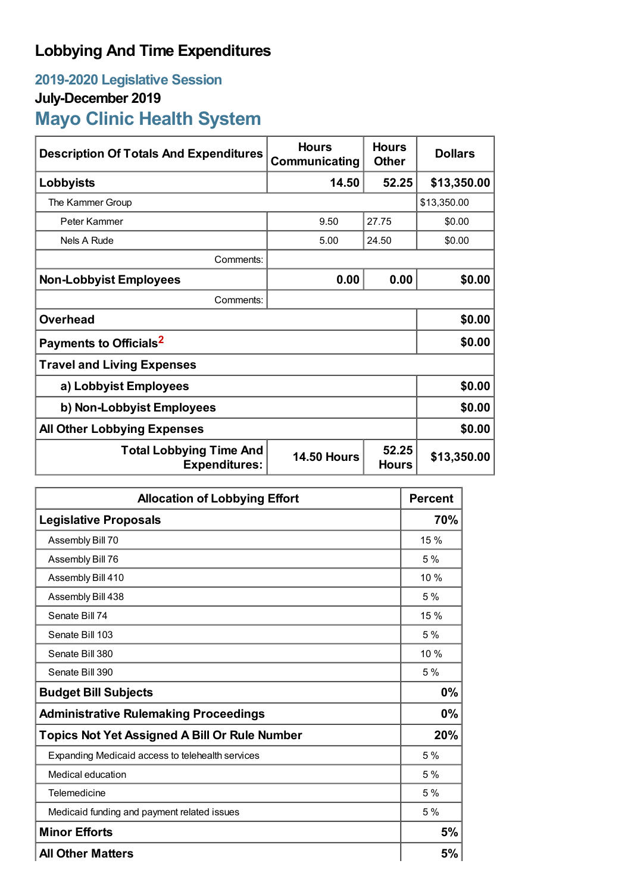# **Lobbying And Time Expenditures**

## **2019-2020 Legislative Session July-December 2019 Mayo Clinic Health System**

| <b>Description Of Totals And Expenditures</b>          | <b>Hours</b><br>Communicating | <b>Hours</b><br><b>Other</b> | <b>Dollars</b> |  |
|--------------------------------------------------------|-------------------------------|------------------------------|----------------|--|
| Lobbyists                                              | 14.50                         | 52.25                        | \$13,350.00    |  |
| The Kammer Group                                       |                               |                              | \$13,350.00    |  |
| Peter Kammer                                           | 9.50                          | 27.75                        | \$0.00         |  |
| Nels A Rude                                            | 5.00                          | 24.50                        | \$0.00         |  |
| Comments:                                              |                               |                              |                |  |
| <b>Non-Lobbyist Employees</b>                          | 0.00                          | 0.00                         | \$0.00         |  |
| Comments:                                              |                               |                              |                |  |
| <b>Overhead</b>                                        |                               |                              | \$0.00         |  |
| Payments to Officials <sup>2</sup>                     |                               |                              | \$0.00         |  |
| <b>Travel and Living Expenses</b>                      |                               |                              |                |  |
| a) Lobbyist Employees                                  |                               |                              | \$0.00         |  |
| b) Non-Lobbyist Employees                              |                               |                              | \$0.00         |  |
| <b>All Other Lobbying Expenses</b>                     |                               |                              | \$0.00         |  |
| <b>Total Lobbying Time And</b><br><b>Expenditures:</b> | <b>14.50 Hours</b>            | 52.25<br><b>Hours</b>        | \$13,350.00    |  |

| <b>Allocation of Lobbying Effort</b>                 |      |
|------------------------------------------------------|------|
| <b>Legislative Proposals</b>                         | 70%  |
| Assembly Bill 70                                     | 15 % |
| Assembly Bill 76                                     | 5%   |
| Assembly Bill 410                                    | 10%  |
| Assembly Bill 438                                    | 5%   |
| Senate Bill 74                                       | 15 % |
| Senate Bill 103                                      | 5%   |
| Senate Bill 380                                      | 10 % |
| Senate Bill 390                                      | 5%   |
| <b>Budget Bill Subjects</b>                          | 0%   |
| <b>Administrative Rulemaking Proceedings</b>         | 0%   |
| <b>Topics Not Yet Assigned A Bill Or Rule Number</b> | 20%  |
| Expanding Medicaid access to telehealth services     | 5%   |
| Medical education                                    | 5%   |
| Telemedicine                                         | 5%   |
| Medicaid funding and payment related issues          | 5%   |
| <b>Minor Efforts</b>                                 | 5%   |
| <b>All Other Matters</b>                             | 5%   |